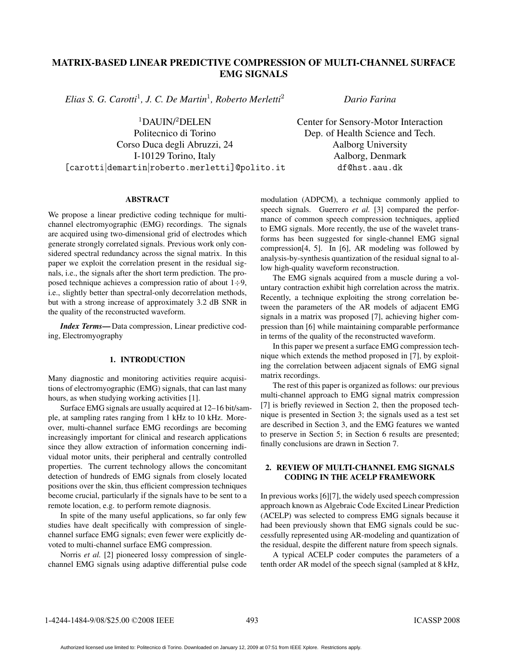# MATRIX-BASED LINEAR PREDICTIVE COMPRESSION OF MULTI-CHANNEL SURFACE EMG SIGNALS

*Elias S. G. Carotti*<sup>1</sup>*, J. C. De Martin*<sup>1</sup>*, Roberto Merletti*<sup>2</sup>

 $1$ DAUIN/ $2$ DELEN

Politecnico di Torino Corso Duca degli Abruzzi, 24 I-10129 Torino, Italy [carotti|demartin|roberto.merletti]@polito.it *Dario Farina*

Center for Sensory-Motor Interaction Dep. of Health Science and Tech. Aalborg University Aalborg, Denmark df@hst.aau.dk

#### **ABSTRACT** ABSTRACT

We propose a linear predictive coding technique for multichannel electromyographic (EMG) recordings. The signals are acquired using two-dimensional grid of electrodes which generate strongly correlated signals. Previous work only considered spectral redundancy across the signal matrix. In this paper we exploit the correlation present in the residual signals, i.e., the signals after the short term prediction. The proposed technique achieves a compression ratio of about  $1\div 9$ , i.e., slightly better than spectral-only decorrelation methods, but with a strong increase of approximately 3.2 dB SNR in the quality of the reconstructed waveform.

*Index Terms*— Data compression, Linear predictive coding, Electromyography

#### 1. INTRODUCTION 1. INTRODUCTION

Many diagnostic and monitoring activities require acquisitions of electromyographic (EMG) signals, that can last many hours, as when studying working activities [1].

Surface EMG signals are usually acquired at 12–16 bit/sample, at sampling rates ranging from 1 kHz to 10 kHz. Moreover, multi-channel surface EMG recordings are becoming increasingly important for clinical and research applications since they allow extraction of information concerning individual motor units, their peripheral and centrally controlled properties. The current technology allows the concomitant detection of hundreds of EMG signals from closely located positions over the skin, thus efficient compression techniques become crucial, particularly if the signals have to be sent to a remote location, e.g. to perform remote diagnosis.

In spite of the many useful applications, so far only few studies have dealt specifically with compression of singlechannel surface EMG signals; even fewer were explicitly devoted to multi-channel surface EMG compression.

Norris *et al.* [2] pioneered lossy compression of singlechannel EMG signals using adaptive differential pulse code modulation (ADPCM), a technique commonly applied to speech signals. Guerrero *et al.* [3] compared the performance of common speech compression techniques, applied to EMG signals. More recently, the use of the wavelet transforms has been suggested for single-channel EMG signal compression[4, 5]. In [6], AR modeling was followed by analysis-by-synthesis quantization of the residual signal to allow high-quality waveform reconstruction.

The EMG signals acquired from a muscle during a voluntary contraction exhibit high correlation across the matrix. Recently, a technique exploiting the strong correlation between the parameters of the AR models of adjacent EMG signals in a matrix was proposed [7], achieving higher compression than [6] while maintaining comparable performance in terms of the quality of the reconstructed waveform.

In this paper we present a surface EMG compression technique which extends the method proposed in [7], by exploiting the correlation between adjacent signals of EMG signal matrix recordings.

The rest of this paper is organized as follows: our previous multi-channel approach to EMG signal matrix compression [7] is briefly reviewed in Section 2, then the proposed technique is presented in Section 3; the signals used as a test set are described in Section 3, and the EMG features we wanted to preserve in Section 5; in Section 6 results are presented; finally conclusions are drawn in Section 7.

#### 2. REVIEW OF MULTI-CHANNEL EMG SIGNALS<br>CODING IN THE ACELP FRAMEWORK CODING IN THE ACELP FRAMEWORK

In previous works [6][7], the widely used speech compression approach known as Algebraic Code Excited Linear Prediction (ACELP) was selected to compress EMG signals because it had been previously shown that EMG signals could be successfully represented using AR-modeling and quantization of the residual, despite the different nature from speech signals.

A typical ACELP coder computes the parameters of a tenth order AR model of the speech signal (sampled at 8 kHz,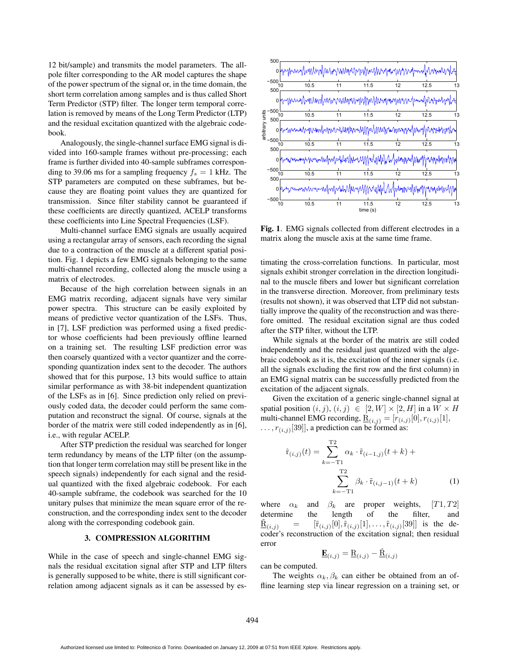12 bit/sample) and transmits the model parameters. The allpole filter corresponding to the AR model captures the shape of the power spectrum of the signal or, in the time domain, the short term correlation among samples and is thus called Short Term Predictor (STP) filter. The longer term temporal correlation is removed by means of the Long Term Predictor (LTP) and the residual excitation quantized with the algebraic codebook.

Analogously, the single-channel surface EMG signal is divided into 160-sample frames without pre-processing; each frame is further divided into 40-sample subframes corresponding to 39.06 ms for a sampling frequency  $f_s = 1$  kHz. The STP parameters are computed on these subframes, but because they are floating point values they are quantized for transmission. Since filter stability cannot be guaranteed if these coefficients are directly quantized, ACELP transforms these coefficients into Line Spectral Frequencies (LSF).

Multi-channel surface EMG signals are usually acquired using a rectangular array of sensors, each recording the signal due to a contraction of the muscle at a different spatial position. Fig. 1 depicts a few EMG signals belonging to the same multi-channel recording, collected along the muscle using a matrix of electrodes.

Because of the high correlation between signals in an EMG matrix recording, adjacent signals have very similar power spectra. This structure can be easily exploited by means of predictive vector quantization of the LSFs. Thus, in [7], LSF prediction was performed using a fixed predictor whose coefficients had been previously offline learned on a training set. The resulting LSF prediction error was then coarsely quantized with a vector quantizer and the corresponding quantization index sent to the decoder. The authors showed that for this purpose, 13 bits would suffice to attain similar performance as with 38-bit independent quantization of the LSFs as in [6]. Since prediction only relied on previously coded data, the decoder could perform the same computation and reconstruct the signal. Of course, signals at the border of the matrix were still coded independently as in [6], i.e., with regular ACELP.

After STP prediction the residual was searched for longer term redundancy by means of the LTP filter (on the assumption that longer term correlation may still be present like in the speech signals) independently for each signal and the residual quantized with the fixed algebraic codebook. For each 40-sample subframe, the codebook was searched for the 10 unitary pulses that minimize the mean square error of the reconstruction, and the corresponding index sent to the decoder along with the corresponding codebook gain.

### 3. COMPRESSION ALGORITHM

While in the case of speech and single-channel EMG signals the residual excitation signal after STP and LTP filters is generally supposed to be white, there is still significant correlation among adjacent signals as it can be assessed by es-



Fig. 1. EMG signals collected from different electrodes in a matrix along the muscle axis at the same time frame.

timating the cross-correlation functions. In particular, most signals exhibit stronger correlation in the direction longitudinal to the muscle fibers and lower but significant correlation in the transverse direction. Moreover, from preliminary tests (results not shown), it was observed that LTP did not substantially improve the quality of the reconstruction and was therefore omitted. The residual excitation signal are thus coded after the STP filter, without the LTP.

While signals at the border of the matrix are still coded independently and the residual just quantized with the algebraic codebook as it is, the excitation of the inner signals (i.e. all the signals excluding the first row and the first column) in an EMG signal matrix can be successfully predicted from the excitation of the adjacent signals.

Given the excitation of a generic single-channel signal at spatial position  $(i, j), (i, j) \in [2, W] \times [2, H]$  in a  $W \times H$ multi-channel EMG recording,  $\underline{\mathbf{R}}_{(i,j)} = [r_{(i,j)}[0], r_{(i,j)}[1],$  $\ldots$ ,  $r_{(i,j)}[39]$ , a prediction can be formed as:

$$
\hat{\mathbf{r}}_{(i,j)}(t) = \sum_{k=-\text{I}}^{\text{T2}} \alpha_k \cdot \tilde{\mathbf{r}}_{(i-1,j)}(t+k) + \sum_{k=-\text{I1}}^{\text{T2}} \beta_k \cdot \tilde{\mathbf{r}}_{(i,j-1)}(t+k)
$$
(1)

where  $\alpha_k$  and  $\beta_k$  are proper weights, [T1, T2] determine the length of the filter, and  $R_{(i,j)} = [\tilde{r}_{(i,j)}[0], \tilde{r}_{(i,j)}[1], \ldots, \tilde{r}_{(i,j)}[39]]$  is the decoder's reconstruction of the excitation signal; then residual error

$$
\underline{\mathbf{E}}_{(i,j)} = \underline{\mathbf{R}}_{(i,j)} - \underline{\hat{\mathbf{R}}}_{(i,j)}
$$

can be computed.

The weights  $\alpha_k, \beta_k$  can either be obtained from an offline learning step via linear regression on a training set, or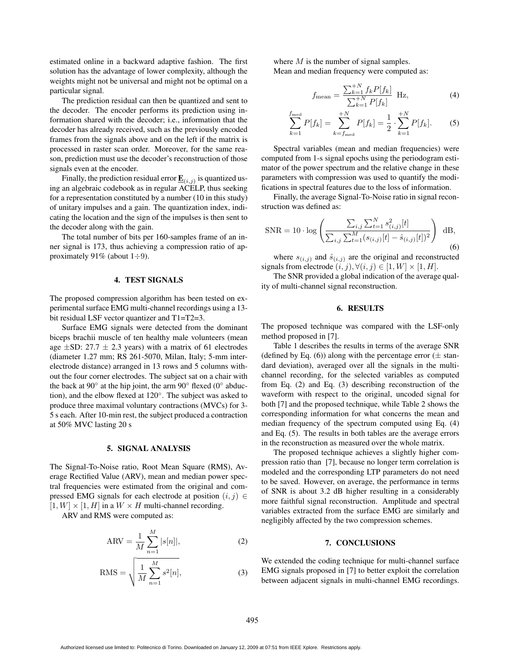estimated online in a backward adaptive fashion. The first solution has the advantage of lower complexity, although the weights might not be universal and might not be optimal on a particular signal.

The prediction residual can then be quantized and sent to the decoder. The encoder performs its prediction using information shared with the decoder; i.e., information that the decoder has already received, such as the previously encoded frames from the signals above and on the left if the matrix is processed in raster scan order. Moreover, for the same reason, prediction must use the decoder's reconstruction of those signals even at the encoder.

Finally, the prediction residual error  $\underline{\mathbf{E}}_{(i,j)}$  is quantized using an algebraic codebook as in regular ACELP, thus seeking for a representation constituted by a number (10 in this study) of unitary impulses and a gain. The quantization index, indicating the location and the sign of the impulses is then sent to the decoder along with the gain.

The total number of bits per 160-samples frame of an inner signal is 173, thus achieving a compression ratio of approximately 91% (about  $1\div 9$ ).

### $\overline{1}$   $\overline{1}$   $\overline{2}$   $\overline{3}$   $\overline{4}$   $\overline{5}$   $\overline{4}$   $\overline{5}$   $\overline{5}$   $\overline{6}$   $\overline{1}$   $\overline{2}$   $\overline{5}$   $\overline{2}$   $\overline{5}$   $\overline{2}$   $\overline{5}$   $\overline{2}$   $\overline{5}$   $\overline{2}$   $\overline{5}$   $\overline{2}$   $\overline{5}$   $\overline{2}$   $\overline{$

The proposed compression algorithm has been tested on experimental surface EMG multi-channel recordings using a 13 bit residual LSF vector quantizer and T1=T2=3.

Surface EMG signals were detected from the dominant biceps brachii muscle of ten healthy male volunteers (mean age  $\pm$ SD: 27.7  $\pm$  2.3 years) with a matrix of 61 electrodes (diameter 1.27 mm; RS 261-5070, Milan, Italy; 5-mm interelectrode distance) arranged in 13 rows and 5 columns without the four corner electrodes. The subject sat on a chair with the back at  $90^\circ$  at the hip joint, the arm  $90^\circ$  flexed (0 $^\circ$  abduction), and the elbow flexed at 120◦. The subject was asked to produce three maximal voluntary contractions (MVCs) for 3- 5 s each. After 10-min rest, the subject produced a contraction at 50% MVC lasting 20 s

## 5. SIGNAL ANALYSIS

The Signal-To-Noise ratio, Root Mean Square (RMS), Average Rectified Value (ARV), mean and median power spectral frequencies were estimated from the original and compressed EMG signals for each electrode at position  $(i, j) \in$  $[1, W] \times [1, H]$  in a  $W \times H$  multi-channel recording.

ARV and RMS were computed as:

$$
ARV = \frac{1}{M} \sum_{n=1}^{M} |s[n]|,
$$
 (2)

$$
RMS = \sqrt{\frac{1}{M} \sum_{n=1}^{M} s^2[n]},
$$
\n(3)

where  $M$  is the number of signal samples. Mean and median frequency were computed as:

$$
f_{\text{mean}} = \frac{\sum_{k=1}^{+N} f_k P[f_k]}{\sum_{k=1}^{+N} P[f_k]} \text{ Hz},\tag{4}
$$

$$
\sum_{k=1}^{f_{\text{med}}} P[f_k] = \sum_{k=f_{\text{med}}}^{+N} P[f_k] = \frac{1}{2} \cdot \sum_{k=1}^{+N} P[f_k]. \tag{5}
$$

Spectral variables (mean and median frequencies) were computed from 1-s signal epochs using the periodogram estimator of the power spectrum and the relative change in these parameters with compression was used to quantify the modifications in spectral features due to the loss of information.

Finally, the average Signal-To-Noise ratio in signal reconstruction was defined as:

$$
\text{SNR} = 10 \cdot \log \left( \frac{\sum_{i,j} \sum_{t=1}^{N} s_{(i,j)}^2 [t]}{\sum_{i,j} \sum_{t=1}^{M} (s_{(i,j)}[t] - \hat{s}_{(i,j)}[t])^2} \right) d\mathbf{B},\tag{6}
$$

where  $s_{(i,j)}$  and  $\hat{s}_{(i,j)}$  are the original and reconstructed signals from electrode  $(i, j), \forall (i, j) \in [1, W] \times [1, H]$ .

The SNR provided a global indication of the average quality of multi-channel signal reconstruction.

## $\frac{1}{2}$ .  $\frac{1}{2}$

The proposed technique was compared with the LSF-only method proposed in [7].

Table 1 describes the results in terms of the average SNR (defined by Eq. (6)) along with the percentage error  $(\pm \text{ stan}$ dard deviation), averaged over all the signals in the multichannel recording, for the selected variables as computed from Eq. (2) and Eq. (3) describing reconstruction of the waveform with respect to the original, uncoded signal for both [7] and the proposed technique, while Table 2 shows the corresponding information for what concerns the mean and median frequency of the spectrum computed using Eq. (4) and Eq. (5). The results in both tables are the average errors in the reconstruction as measured over the whole matrix.

The proposed technique achieves a slightly higher compression ratio than [7], because no longer term correlation is modeled and the corresponding LTP parameters do not need to be saved. However, on average, the performance in terms of SNR is about 3.2 dB higher resulting in a considerably more faithful signal reconstruction. Amplitude and spectral variables extracted from the surface EMG are similarly and negligibly affected by the two compression schemes.

## 7. CONCLUSIONS

We extended the coding technique for multi-channel surface EMG signals proposed in [7] to better exploit the correlation between adjacent signals in multi-channel EMG recordings.